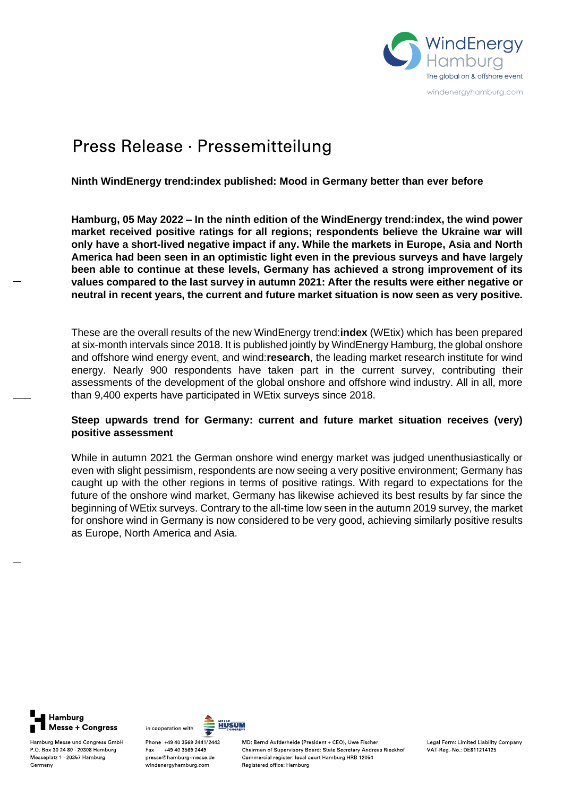

# Press Release · Pressemitteilung

# **Ninth WindEnergy trend:index published: Mood in Germany better than ever before**

**Hamburg, 05 May 2022 – In the ninth edition of the WindEnergy trend:index, the wind power market received positive ratings for all regions; respondents believe the Ukraine war will only have a short-lived negative impact if any. While the markets in Europe, Asia and North America had been seen in an optimistic light even in the previous surveys and have largely been able to continue at these levels, Germany has achieved a strong improvement of its values compared to the last survey in autumn 2021: After the results were either negative or neutral in recent years, the current and future market situation is now seen as very positive.** 

These are the overall results of the new WindEnergy trend:**index** (WEtix) which has been prepared at six-month intervals since 2018. It is published jointly by WindEnergy Hamburg, the global onshore and offshore wind energy event, and wind:**research**, the leading market research institute for wind energy. Nearly 900 respondents have taken part in the current survey, contributing their assessments of the development of the global onshore and offshore wind industry. All in all, more than 9,400 experts have participated in WEtix surveys since 2018.

# **Steep upwards trend for Germany: current and future market situation receives (very) positive assessment**

While in autumn 2021 the German onshore wind energy market was judged unenthusiastically or even with slight pessimism, respondents are now seeing a very positive environment; Germany has caught up with the other regions in terms of positive ratings. With regard to expectations for the future of the onshore wind market, Germany has likewise achieved its best results by far since the beginning of WEtix surveys. Contrary to the all-time low seen in the autumn 2019 survey, the market for onshore wind in Germany is now considered to be very good, achieving similarly positive results as Europe, North America and Asia.

Hamburg Messe + Congress

Hamburg Messe und Congress GmbH

P.O. Box 30 24 80 20308 Hamburg

Messeplatz 1 20357 Hamburg

Germany



Phone +49 40 3569 2441/2443 Fax +49 40 3569 2449 presse@hamburg-messe.de windenergyhamburg.com

MD: Bernd Aufderheide (President + CEO), Uwe Fischer Chairman of Supervisory Board: State Secretary Andreas Rieckhof Commercial register: local court Hamburg HRB 12054 Registered office: Hamburg

Legal Form: Limited Liability Company VAT Reg. No : DE811214125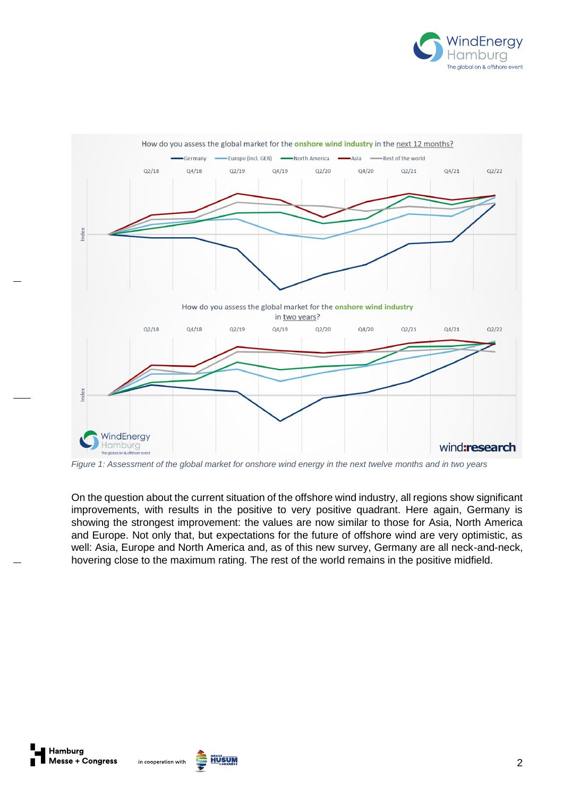



*Figure 1: Assessment of the global market for onshore wind energy in the next twelve months and in two years*

On the question about the current situation of the offshore wind industry, all regions show significant improvements, with results in the positive to very positive quadrant. Here again, Germany is showing the strongest improvement: the values are now similar to those for Asia, North America and Europe. Not only that, but expectations for the future of offshore wind are very optimistic, as well: Asia, Europe and North America and, as of this new survey, Germany are all neck-and-neck, hovering close to the maximum rating. The rest of the world remains in the positive midfield.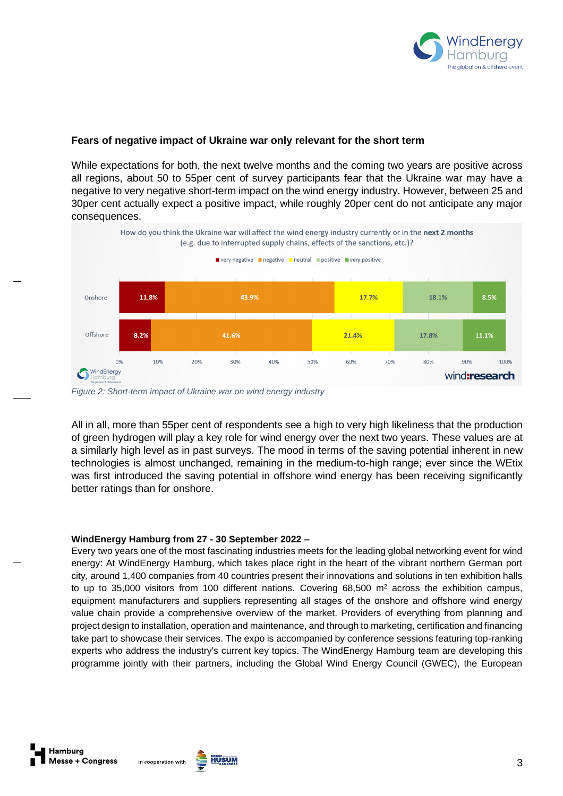

# **Fears of negative impact of Ukraine war only relevant for the short term**

While expectations for both, the next twelve months and the coming two years are positive across all regions, about 50 to 55per cent of survey participants fear that the Ukraine war may have a negative to very negative short-term impact on the wind energy industry. However, between 25 and 30per cent actually expect a positive impact, while roughly 20per cent do not anticipate any major consequences.



*Figure 2: Short-term impact of Ukraine war on wind energy industry*

All in all, more than 55per cent of respondents see a high to very high likeliness that the production of green hydrogen will play a key role for wind energy over the next two years. These values are at a similarly high level as in past surveys. The mood in terms of the saving potential inherent in new technologies is almost unchanged, remaining in the medium-to-high range; ever since the WEtix was first introduced the saving potential in offshore wind energy has been receiving significantly better ratings than for onshore.

## **WindEnergy Hamburg from 27 - 30 September 2022 –**

Every two years one of the most fascinating industries meets for the leading global networking event for wind energy: At WindEnergy Hamburg, which takes place right in the heart of the vibrant northern German port city, around 1,400 companies from 40 countries present their innovations and solutions in ten exhibition halls to up to 35,000 visitors from 100 different nations. Covering  $68,500$  m<sup>2</sup> across the exhibition campus, equipment manufacturers and suppliers representing all stages of the onshore and offshore wind energy value chain provide a comprehensive overview of the market. Providers of everything from planning and project design to installation, operation and maintenance, and through to marketing, certification and financing take part to showcase their services. The expo is accompanied by conference sessions featuring top-ranking experts who address the industry's current key topics. The WindEnergy Hamburg team are developing this programme jointly with their partners, including the Global Wind Energy Council (GWEC), the European